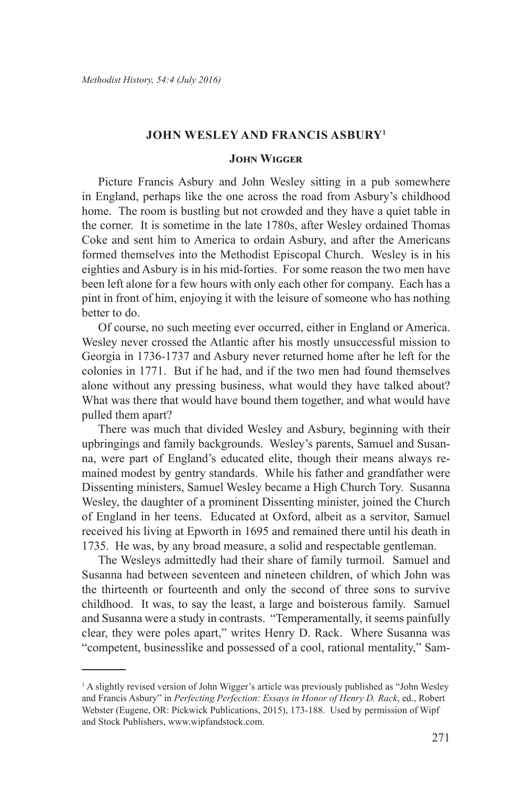## **John Wesley and Francis Asbury<sup>1</sup>**

## **John Wigger**

Picture Francis Asbury and John Wesley sitting in a pub somewhere in England, perhaps like the one across the road from Asbury's childhood home. The room is bustling but not crowded and they have a quiet table in the corner. It is sometime in the late 1780s, after Wesley ordained Thomas Coke and sent him to America to ordain Asbury, and after the Americans formed themselves into the Methodist Episcopal Church. Wesley is in his eighties and Asbury is in his mid-forties. For some reason the two men have been left alone for a few hours with only each other for company. Each has a pint in front of him, enjoying it with the leisure of someone who has nothing better to do.

Of course, no such meeting ever occurred, either in England or America. Wesley never crossed the Atlantic after his mostly unsuccessful mission to Georgia in 1736-1737 and Asbury never returned home after he left for the colonies in 1771. But if he had, and if the two men had found themselves alone without any pressing business, what would they have talked about? What was there that would have bound them together, and what would have pulled them apart?

There was much that divided Wesley and Asbury, beginning with their upbringings and family backgrounds. Wesley's parents, Samuel and Susanna, were part of England's educated elite, though their means always remained modest by gentry standards. While his father and grandfather were Dissenting ministers, Samuel Wesley became a High Church Tory. Susanna Wesley, the daughter of a prominent Dissenting minister, joined the Church of England in her teens. Educated at Oxford, albeit as a servitor, Samuel received his living at Epworth in 1695 and remained there until his death in 1735. He was, by any broad measure, a solid and respectable gentleman.

The Wesleys admittedly had their share of family turmoil. Samuel and Susanna had between seventeen and nineteen children, of which John was the thirteenth or fourteenth and only the second of three sons to survive childhood. It was, to say the least, a large and boisterous family. Samuel and Susanna were a study in contrasts. "Temperamentally, it seems painfully clear, they were poles apart," writes Henry D. Rack. Where Susanna was "competent, businesslike and possessed of a cool, rational mentality," Sam-

<sup>&</sup>lt;sup>1</sup> A slightly revised version of John Wigger's article was previously published as "John Wesley and Francis Asbury" in *Perfecting Perfection: Essays in Honor of Henry D. Rack*, ed., Robert Webster (Eugene, OR: Pickwick Publications, 2015), 173-188. Used by permission of Wipf and Stock Publishers, www.wipfandstock.com.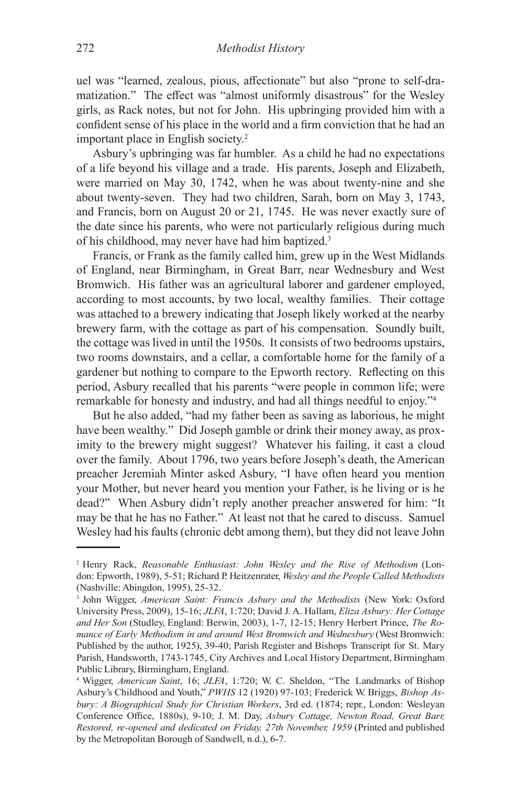uel was "learned, zealous, pious, affectionate" but also "prone to self-dramatization." The effect was "almost uniformly disastrous" for the Wesley girls, as Rack notes, but not for John. His upbringing provided him with a confident sense of his place in the world and a firm conviction that he had an important place in English society.<sup>2</sup>

Asbury's upbringing was far humbler. As a child he had no expectations of a life beyond his village and a trade. His parents, Joseph and Elizabeth, were married on May 30, 1742, when he was about twenty-nine and she about twenty-seven. They had two children, Sarah, born on May 3, 1743, and Francis, born on August 20 or 21, 1745. He was never exactly sure of the date since his parents, who were not particularly religious during much of his childhood, may never have had him baptized.<sup>3</sup>

Francis, or Frank as the family called him, grew up in the West Midlands of England, near Birmingham, in Great Barr, near Wednesbury and West Bromwich. His father was an agricultural laborer and gardener employed, according to most accounts, by two local, wealthy families. Their cottage was attached to a brewery indicating that Joseph likely worked at the nearby brewery farm, with the cottage as part of his compensation. Soundly built, the cottage was lived in until the 1950s. It consists of two bedrooms upstairs, two rooms downstairs, and a cellar, a comfortable home for the family of a gardener but nothing to compare to the Epworth rectory. Reflecting on this period, Asbury recalled that his parents "were people in common life; were remarkable for honesty and industry, and had all things needful to enjoy."<sup>4</sup>

But he also added, "had my father been as saving as laborious, he might have been wealthy." Did Joseph gamble or drink their money away, as proximity to the brewery might suggest? Whatever his failing, it cast a cloud over the family. About 1796, two years before Joseph's death, the American preacher Jeremiah Minter asked Asbury, "I have often heard you mention your Mother, but never heard you mention your Father, is he living or is he dead?" When Asbury didn't reply another preacher answered for him: "It may be that he has no Father." At least not that he cared to discuss. Samuel Wesley had his faults (chronic debt among them), but they did not leave John

<sup>2</sup> Henry Rack, *Reasonable Enthusiast: John Wesley and the Rise of Methodism* (London: Epworth, 1989), 5-51; Richard P. Heitzenrater, *Wesley and the People Called Methodists*  (Nashville: Abingdon, 1995), 25-32.

<sup>3</sup> John Wigger, *American Saint: Francis Asbury and the Methodists* (New York: Oxford University Press, 2009), 15-16; *JLFA*, 1:720; David J. A. Hallam, *Eliza Asbury: Her Cottage and Her Son* (Studley, England: Berwin, 2003), 1-7, 12-15; Henry Herbert Prince, *The Romance of Early Methodism in and around West Bromwich and Wednesbury* (West Bromwich: Published by the author, 1925), 39-40; Parish Register and Bishops Transcript for St. Mary Parish, Handsworth, 1743-1745, City Archives and Local History Department, Birmingham Public Library, Birmingham, England.

<sup>4</sup> Wigger, *American Saint*, 16; *JLFA*, 1:720; W. C. Sheldon, "The Landmarks of Bishop Asbury's Childhood and Youth," *PWHS* 12 (1920) 97-103; Frederick W. Briggs, *Bishop Asbury: A Biographical Study for Christian Workers*, 3rd ed. (1874; repr., London: Wesleyan Conference Office, 1880s), 9-10; J. M. Day, *Asbury Cottage, Newton Road, Great Barr, Restored, re-opened and dedicated on Friday, 27th November, 1959* (Printed and published by the Metropolitan Borough of Sandwell, n.d.), 6-7.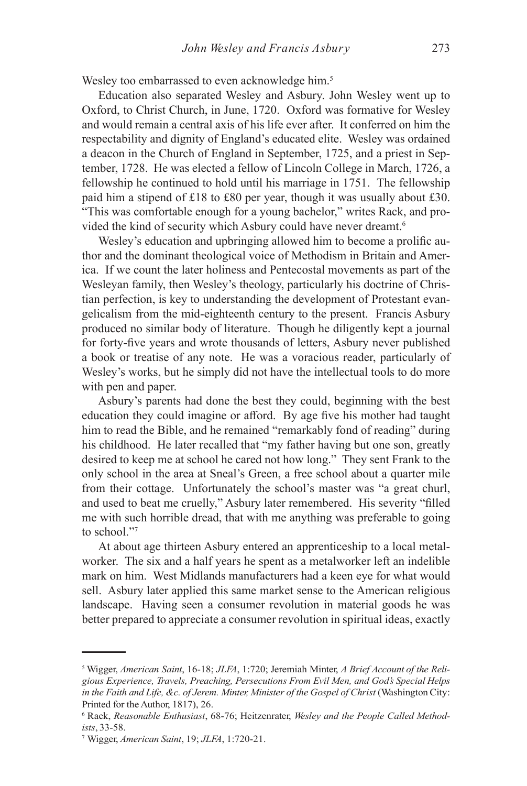Wesley too embarrassed to even acknowledge him.<sup>5</sup>

Education also separated Wesley and Asbury. John Wesley went up to Oxford, to Christ Church, in June, 1720. Oxford was formative for Wesley and would remain a central axis of his life ever after. It conferred on him the respectability and dignity of England's educated elite. Wesley was ordained a deacon in the Church of England in September, 1725, and a priest in September, 1728. He was elected a fellow of Lincoln College in March, 1726, a fellowship he continued to hold until his marriage in 1751. The fellowship paid him a stipend of £18 to £80 per year, though it was usually about £30. "This was comfortable enough for a young bachelor," writes Rack, and provided the kind of security which Asbury could have never dreamt.<sup>6</sup>

Wesley's education and upbringing allowed him to become a prolific author and the dominant theological voice of Methodism in Britain and America. If we count the later holiness and Pentecostal movements as part of the Wesleyan family, then Wesley's theology, particularly his doctrine of Christian perfection, is key to understanding the development of Protestant evangelicalism from the mid-eighteenth century to the present. Francis Asbury produced no similar body of literature. Though he diligently kept a journal for forty-five years and wrote thousands of letters, Asbury never published a book or treatise of any note. He was a voracious reader, particularly of Wesley's works, but he simply did not have the intellectual tools to do more with pen and paper.

Asbury's parents had done the best they could, beginning with the best education they could imagine or afford. By age five his mother had taught him to read the Bible, and he remained "remarkably fond of reading" during his childhood. He later recalled that "my father having but one son, greatly desired to keep me at school he cared not how long." They sent Frank to the only school in the area at Sneal's Green, a free school about a quarter mile from their cottage. Unfortunately the school's master was "a great churl, and used to beat me cruelly," Asbury later remembered. His severity "filled me with such horrible dread, that with me anything was preferable to going to school."7

At about age thirteen Asbury entered an apprenticeship to a local metalworker. The six and a half years he spent as a metalworker left an indelible mark on him. West Midlands manufacturers had a keen eye for what would sell. Asbury later applied this same market sense to the American religious landscape. Having seen a consumer revolution in material goods he was better prepared to appreciate a consumer revolution in spiritual ideas, exactly

<sup>5</sup> Wigger, *American Saint*, 16-18; *JLFA*, 1:720; Jeremiah Minter, *A Brief Account of the Religious Experience, Travels, Preaching, Persecutions From Evil Men, and God's Special Helps in the Faith and Life, &c. of Jerem. Minter, Minister of the Gospel of Christ* (Washington City: Printed for the Author, 1817), 26.

<sup>6</sup> Rack, *Reasonable Enthusiast*, 68-76; Heitzenrater, *Wesley and the People Called Methodists*, 33-58.

<sup>7</sup> Wigger, *American Saint*, 19; *JLFA*, 1:720-21.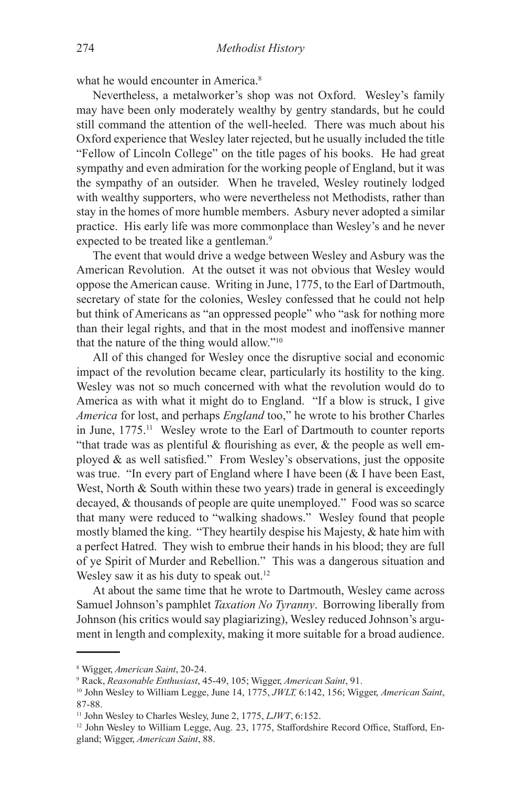what he would encounter in America.<sup>8</sup>

Nevertheless, a metalworker's shop was not Oxford. Wesley's family may have been only moderately wealthy by gentry standards, but he could still command the attention of the well-heeled. There was much about his Oxford experience that Wesley later rejected, but he usually included the title "Fellow of Lincoln College" on the title pages of his books. He had great sympathy and even admiration for the working people of England, but it was the sympathy of an outsider. When he traveled, Wesley routinely lodged with wealthy supporters, who were nevertheless not Methodists, rather than stay in the homes of more humble members. Asbury never adopted a similar practice. His early life was more commonplace than Wesley's and he never expected to be treated like a gentleman.<sup>9</sup>

The event that would drive a wedge between Wesley and Asbury was the American Revolution. At the outset it was not obvious that Wesley would oppose the American cause. Writing in June, 1775, to the Earl of Dartmouth, secretary of state for the colonies, Wesley confessed that he could not help but think of Americans as "an oppressed people" who "ask for nothing more than their legal rights, and that in the most modest and inoffensive manner that the nature of the thing would allow."<sup>10</sup>

All of this changed for Wesley once the disruptive social and economic impact of the revolution became clear, particularly its hostility to the king. Wesley was not so much concerned with what the revolution would do to America as with what it might do to England. "If a blow is struck, I give *America* for lost, and perhaps *England* too," he wrote to his brother Charles in June, 1775.11 Wesley wrote to the Earl of Dartmouth to counter reports "that trade was as plentiful  $\&$  flourishing as ever,  $\&$  the people as well employed & as well satisfied." From Wesley's observations, just the opposite was true. "In every part of England where I have been (& I have been East, West, North & South within these two years) trade in general is exceedingly decayed, & thousands of people are quite unemployed." Food was so scarce that many were reduced to "walking shadows." Wesley found that people mostly blamed the king. "They heartily despise his Majesty, & hate him with a perfect Hatred. They wish to embrue their hands in his blood; they are full of ye Spirit of Murder and Rebellion." This was a dangerous situation and Wesley saw it as his duty to speak out.<sup>12</sup>

At about the same time that he wrote to Dartmouth, Wesley came across Samuel Johnson's pamphlet *Taxation No Tyranny*. Borrowing liberally from Johnson (his critics would say plagiarizing), Wesley reduced Johnson's argument in length and complexity, making it more suitable for a broad audience.

<sup>8</sup> Wigger, *American Saint*, 20-24.

<sup>9</sup> Rack, *Reasonable Enthusiast*, 45-49, 105; Wigger, *American Saint*, 91.

<sup>10</sup> John Wesley to William Legge, June 14, 1775, *JWLT,* 6:142, 156; Wigger, *American Saint*, 87-88.

<sup>11</sup> John Wesley to Charles Wesley, June 2, 1775, *LJWT*, 6:152.

<sup>&</sup>lt;sup>12</sup> John Wesley to William Legge, Aug. 23, 1775, Staffordshire Record Office, Stafford, England; Wigger, *American Saint*, 88.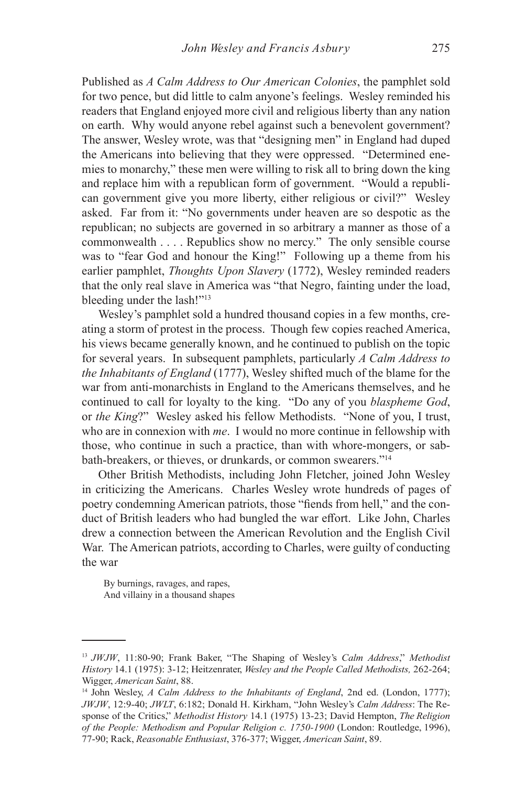Published as *A Calm Address to Our American Colonies*, the pamphlet sold for two pence, but did little to calm anyone's feelings. Wesley reminded his readers that England enjoyed more civil and religious liberty than any nation on earth. Why would anyone rebel against such a benevolent government? The answer, Wesley wrote, was that "designing men" in England had duped the Americans into believing that they were oppressed. "Determined enemies to monarchy," these men were willing to risk all to bring down the king and replace him with a republican form of government. "Would a republican government give you more liberty, either religious or civil?" Wesley asked. Far from it: "No governments under heaven are so despotic as the republican; no subjects are governed in so arbitrary a manner as those of a commonwealth . . . . Republics show no mercy." The only sensible course was to "fear God and honour the King!" Following up a theme from his earlier pamphlet, *Thoughts Upon Slavery* (1772), Wesley reminded readers that the only real slave in America was "that Negro, fainting under the load, bleeding under the lash!"13

Wesley's pamphlet sold a hundred thousand copies in a few months, creating a storm of protest in the process. Though few copies reached America, his views became generally known, and he continued to publish on the topic for several years. In subsequent pamphlets, particularly *A Calm Address to the Inhabitants of England* (1777), Wesley shifted much of the blame for the war from anti-monarchists in England to the Americans themselves, and he continued to call for loyalty to the king. "Do any of you *blaspheme God*, or *the King*?" Wesley asked his fellow Methodists. "None of you, I trust, who are in connexion with *me*. I would no more continue in fellowship with those, who continue in such a practice, than with whore-mongers, or sabbath-breakers, or thieves, or drunkards, or common swearers."<sup>14</sup>

Other British Methodists, including John Fletcher, joined John Wesley in criticizing the Americans. Charles Wesley wrote hundreds of pages of poetry condemning American patriots, those "fiends from hell," and the conduct of British leaders who had bungled the war effort. Like John, Charles drew a connection between the American Revolution and the English Civil War. The American patriots, according to Charles, were guilty of conducting the war

By burnings, ravages, and rapes, And villainy in a thousand shapes

<sup>13</sup> *JWJW*, 11:80-90; Frank Baker, "The Shaping of Wesley's *Calm Address*," *Methodist History* 14.1 (1975): 3-12; Heitzenrater, *Wesley and the People Called Methodists,* 262-264; Wigger, *American Saint*, 88.

<sup>14</sup> John Wesley, *A Calm Address to the Inhabitants of England*, 2nd ed. (London, 1777); *JWJW*, 12:9-40; *JWLT*, 6:182; Donald H. Kirkham, "John Wesley's *Calm Address*: The Response of the Critics," *Methodist History* 14.1 (1975) 13-23; David Hempton, *The Religion of the People: Methodism and Popular Religion c. 1750-1900* (London: Routledge, 1996), 77-90; Rack, *Reasonable Enthusiast*, 376-377; Wigger, *American Saint*, 89.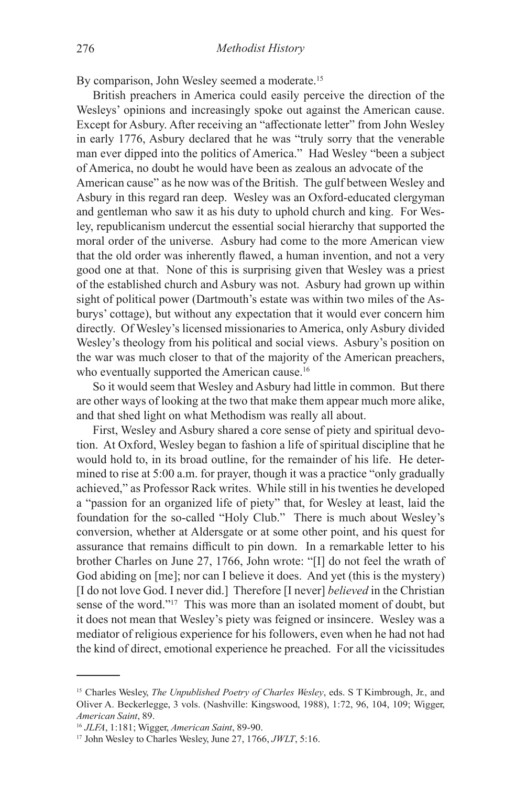By comparison, John Wesley seemed a moderate.<sup>15</sup>

British preachers in America could easily perceive the direction of the Wesleys' opinions and increasingly spoke out against the American cause. Except for Asbury. After receiving an "affectionate letter" from John Wesley in early 1776, Asbury declared that he was "truly sorry that the venerable man ever dipped into the politics of America." Had Wesley "been a subject of America, no doubt he would have been as zealous an advocate of the American cause" as he now was of the British. The gulf between Wesley and Asbury in this regard ran deep. Wesley was an Oxford-educated clergyman and gentleman who saw it as his duty to uphold church and king. For Wesley, republicanism undercut the essential social hierarchy that supported the moral order of the universe. Asbury had come to the more American view that the old order was inherently flawed, a human invention, and not a very good one at that. None of this is surprising given that Wesley was a priest of the established church and Asbury was not. Asbury had grown up within sight of political power (Dartmouth's estate was within two miles of the Asburys' cottage), but without any expectation that it would ever concern him directly. Of Wesley's licensed missionaries to America, only Asbury divided Wesley's theology from his political and social views. Asbury's position on the war was much closer to that of the majority of the American preachers, who eventually supported the American cause.<sup>16</sup>

So it would seem that Wesley and Asbury had little in common. But there are other ways of looking at the two that make them appear much more alike, and that shed light on what Methodism was really all about.

First, Wesley and Asbury shared a core sense of piety and spiritual devotion. At Oxford, Wesley began to fashion a life of spiritual discipline that he would hold to, in its broad outline, for the remainder of his life. He determined to rise at 5:00 a.m. for prayer, though it was a practice "only gradually achieved," as Professor Rack writes. While still in his twenties he developed a "passion for an organized life of piety" that, for Wesley at least, laid the foundation for the so-called "Holy Club." There is much about Wesley's conversion, whether at Aldersgate or at some other point, and his quest for assurance that remains difficult to pin down. In a remarkable letter to his brother Charles on June 27, 1766, John wrote: "[I] do not feel the wrath of God abiding on [me]; nor can I believe it does. And yet (this is the mystery) [I do not love God. I never did.] Therefore [I never] *believed* in the Christian sense of the word."17 This was more than an isolated moment of doubt, but it does not mean that Wesley's piety was feigned or insincere. Wesley was a mediator of religious experience for his followers, even when he had not had the kind of direct, emotional experience he preached. For all the vicissitudes

<sup>&</sup>lt;sup>15</sup> Charles Wesley, *The Unpublished Poetry of Charles Wesley*, eds. S T Kimbrough, Jr., and Oliver A. Beckerlegge, 3 vols. (Nashville: Kingswood, 1988), 1:72, 96, 104, 109; Wigger, *American Saint*, 89.

<sup>16</sup> *JLFA*, 1:181; Wigger, *American Saint*, 89-90.

<sup>17</sup> John Wesley to Charles Wesley, June 27, 1766, *JWLT*, 5:16.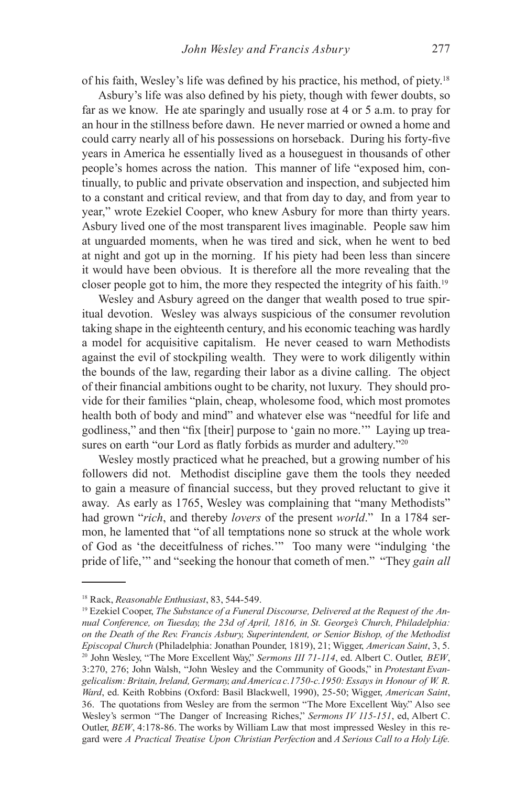of his faith, Wesley's life was defined by his practice, his method, of piety.18

Asbury's life was also defined by his piety, though with fewer doubts, so far as we know. He ate sparingly and usually rose at 4 or 5 a.m. to pray for an hour in the stillness before dawn. He never married or owned a home and could carry nearly all of his possessions on horseback. During his forty-five years in America he essentially lived as a houseguest in thousands of other people's homes across the nation. This manner of life "exposed him, continually, to public and private observation and inspection, and subjected him to a constant and critical review, and that from day to day, and from year to year," wrote Ezekiel Cooper, who knew Asbury for more than thirty years. Asbury lived one of the most transparent lives imaginable. People saw him at unguarded moments, when he was tired and sick, when he went to bed at night and got up in the morning. If his piety had been less than sincere it would have been obvious. It is therefore all the more revealing that the closer people got to him, the more they respected the integrity of his faith.19

Wesley and Asbury agreed on the danger that wealth posed to true spiritual devotion. Wesley was always suspicious of the consumer revolution taking shape in the eighteenth century, and his economic teaching was hardly a model for acquisitive capitalism. He never ceased to warn Methodists against the evil of stockpiling wealth. They were to work diligently within the bounds of the law, regarding their labor as a divine calling. The object of their financial ambitions ought to be charity, not luxury. They should provide for their families "plain, cheap, wholesome food, which most promotes health both of body and mind" and whatever else was "needful for life and godliness," and then "fix [their] purpose to 'gain no more.'" Laying up treasures on earth "our Lord as flatly forbids as murder and adultery."<sup>20</sup>

Wesley mostly practiced what he preached, but a growing number of his followers did not. Methodist discipline gave them the tools they needed to gain a measure of financial success, but they proved reluctant to give it away. As early as 1765, Wesley was complaining that "many Methodists" had grown "*rich*, and thereby *lovers* of the present *world*." In a 1784 sermon, he lamented that "of all temptations none so struck at the whole work of God as 'the deceitfulness of riches.'" Too many were "indulging 'the pride of life,'" and "seeking the honour that cometh of men." "They *gain all* 

<sup>18</sup> Rack, *Reasonable Enthusiast*, 83, 544-549.

<sup>&</sup>lt;sup>19</sup> Ezekiel Cooper, *The Substance of a Funeral Discourse, Delivered at the Request of the Annual Conference, on Tuesday, the 23d of April, 1816, in St. George's Church, Philadelphia: on the Death of the Rev. Francis Asbury, Superintendent, or Senior Bishop, of the Methodist Episcopal Church* (Philadelphia: Jonathan Pounder, 1819), 21; Wigger, *American Saint*, 3, 5. <sup>20</sup> John Wesley, "The More Excellent Way," *Sermons III 71-114*, ed. Albert C. Outler, *BEW*, 3:270, 276; John Walsh, "John Wesley and the Community of Goods," in *Protestant Evangelicalism: Britain, Ireland, Germany, and America c.1750-c.1950: Essays in Honour of W. R. Ward*, ed. Keith Robbins (Oxford: Basil Blackwell, 1990), 25-50; Wigger, *American Saint*, 36. The quotations from Wesley are from the sermon "The More Excellent Way." Also see Wesley's sermon "The Danger of Increasing Riches," *Sermons IV 115-151*, ed, Albert C. Outler, *BEW*, 4:178-86. The works by William Law that most impressed Wesley in this regard were *A Practical Treatise Upon Christian Perfection* and *A Serious Call to a Holy Life.*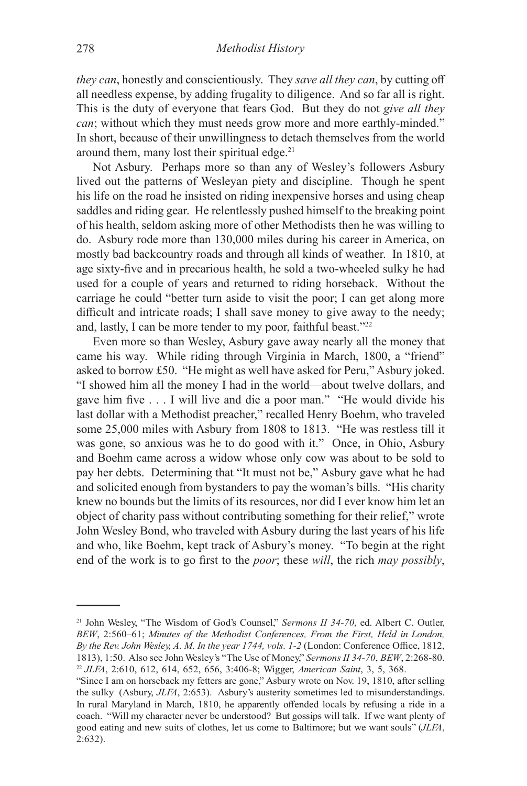*they can*, honestly and conscientiously. They *save all they can*, by cutting off all needless expense, by adding frugality to diligence. And so far all is right. This is the duty of everyone that fears God. But they do not *give all they can*; without which they must needs grow more and more earthly-minded." In short, because of their unwillingness to detach themselves from the world around them, many lost their spiritual edge.<sup>21</sup>

Not Asbury. Perhaps more so than any of Wesley's followers Asbury lived out the patterns of Wesleyan piety and discipline. Though he spent his life on the road he insisted on riding inexpensive horses and using cheap saddles and riding gear. He relentlessly pushed himself to the breaking point of his health, seldom asking more of other Methodists then he was willing to do. Asbury rode more than 130,000 miles during his career in America, on mostly bad backcountry roads and through all kinds of weather. In 1810, at age sixty-five and in precarious health, he sold a two-wheeled sulky he had used for a couple of years and returned to riding horseback. Without the carriage he could "better turn aside to visit the poor; I can get along more difficult and intricate roads; I shall save money to give away to the needy; and, lastly, I can be more tender to my poor, faithful beast."<sup>22</sup>

Even more so than Wesley, Asbury gave away nearly all the money that came his way. While riding through Virginia in March, 1800, a "friend" asked to borrow £50. "He might as well have asked for Peru," Asbury joked. "I showed him all the money I had in the world—about twelve dollars, and gave him five . . . I will live and die a poor man." "He would divide his last dollar with a Methodist preacher," recalled Henry Boehm, who traveled some 25,000 miles with Asbury from 1808 to 1813. "He was restless till it was gone, so anxious was he to do good with it." Once, in Ohio, Asbury and Boehm came across a widow whose only cow was about to be sold to pay her debts. Determining that "It must not be," Asbury gave what he had and solicited enough from bystanders to pay the woman's bills. "His charity knew no bounds but the limits of its resources, nor did I ever know him let an object of charity pass without contributing something for their relief," wrote John Wesley Bond, who traveled with Asbury during the last years of his life and who, like Boehm, kept track of Asbury's money. "To begin at the right end of the work is to go first to the *poor*; these *will*, the rich *may possibly*,

<sup>&</sup>lt;sup>21</sup> John Wesley, "The Wisdom of God's Counsel," *Sermons II 34-70*, ed. Albert C. Outler, *BEW*, 2:560–61; *Minutes of the Methodist Conferences, From the First, Held in London, By the Rev. John Wesley, A. M. In the year 1744, vols. 1-2* (London: Conference Office, 1812, 1813), 1:50. Also see John Wesley's "The Use of Money," *Sermons II 34-70*, *BEW*, 2:268-80. <sup>22</sup> *JLFA*, 2:610, 612, 614, 652, 656, 3:406-8; Wigger, *American Saint*, 3, 5, 368.

<sup>&</sup>quot;Since I am on horseback my fetters are gone," Asbury wrote on Nov. 19, 1810, after selling the sulky (Asbury, *JLFA*, 2:653). Asbury's austerity sometimes led to misunderstandings. In rural Maryland in March, 1810, he apparently offended locals by refusing a ride in a coach. "Will my character never be understood? But gossips will talk. If we want plenty of good eating and new suits of clothes, let us come to Baltimore; but we want souls" (*JLFA*, 2:632).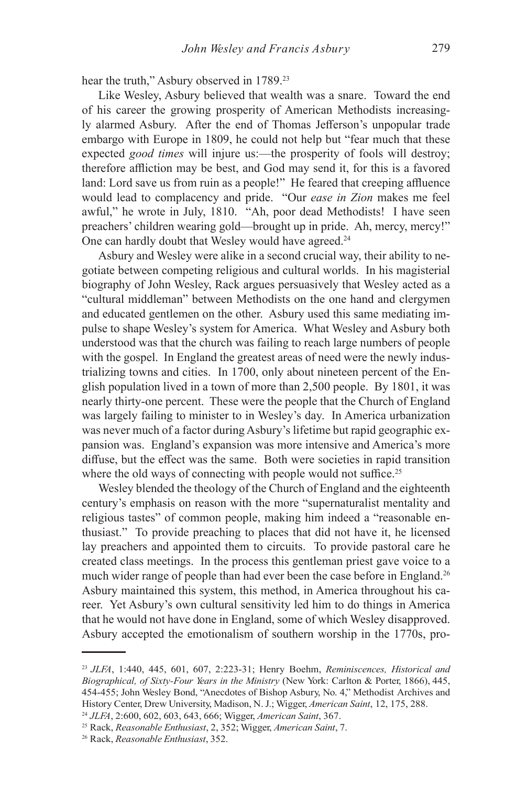hear the truth," Asbury observed in 1789.<sup>23</sup>

Like Wesley, Asbury believed that wealth was a snare. Toward the end of his career the growing prosperity of American Methodists increasingly alarmed Asbury. After the end of Thomas Jefferson's unpopular trade embargo with Europe in 1809, he could not help but "fear much that these expected *good times* will injure us:—the prosperity of fools will destroy; therefore affliction may be best, and God may send it, for this is a favored land: Lord save us from ruin as a people!" He feared that creeping affluence would lead to complacency and pride. "Our *ease in Zion* makes me feel awful," he wrote in July, 1810. "Ah, poor dead Methodists! I have seen preachers' children wearing gold—brought up in pride. Ah, mercy, mercy!" One can hardly doubt that Wesley would have agreed.<sup>24</sup>

Asbury and Wesley were alike in a second crucial way, their ability to negotiate between competing religious and cultural worlds. In his magisterial biography of John Wesley, Rack argues persuasively that Wesley acted as a "cultural middleman" between Methodists on the one hand and clergymen and educated gentlemen on the other. Asbury used this same mediating impulse to shape Wesley's system for America. What Wesley and Asbury both understood was that the church was failing to reach large numbers of people with the gospel. In England the greatest areas of need were the newly industrializing towns and cities. In 1700, only about nineteen percent of the English population lived in a town of more than 2,500 people. By 1801, it was nearly thirty-one percent. These were the people that the Church of England was largely failing to minister to in Wesley's day. In America urbanization was never much of a factor during Asbury's lifetime but rapid geographic expansion was. England's expansion was more intensive and America's more diffuse, but the effect was the same. Both were societies in rapid transition where the old ways of connecting with people would not suffice.<sup>25</sup>

Wesley blended the theology of the Church of England and the eighteenth century's emphasis on reason with the more "supernaturalist mentality and religious tastes" of common people, making him indeed a "reasonable enthusiast." To provide preaching to places that did not have it, he licensed lay preachers and appointed them to circuits. To provide pastoral care he created class meetings. In the process this gentleman priest gave voice to a much wider range of people than had ever been the case before in England.<sup>26</sup> Asbury maintained this system, this method, in America throughout his career. Yet Asbury's own cultural sensitivity led him to do things in America that he would not have done in England, some of which Wesley disapproved. Asbury accepted the emotionalism of southern worship in the 1770s, pro-

<sup>23</sup> *JLFA*, 1:440, 445, 601, 607, 2:223-31; Henry Boehm, *Reminiscences, Historical and Biographical, of Sixty-Four Years in the Ministry* (New York: Carlton & Porter, 1866), 445, 454-455; John Wesley Bond, "Anecdotes of Bishop Asbury, No. 4," Methodist Archives and History Center, Drew University, Madison, N. J.; Wigger, *American Saint*, 12, 175, 288.

<sup>24</sup> *JLFA*, 2:600, 602, 603, 643, 666; Wigger, *American Saint*, 367.

<sup>25</sup> Rack, *Reasonable Enthusiast*, 2, 352; Wigger, *American Saint*, 7.

<sup>26</sup> Rack, *Reasonable Enthusiast*, 352.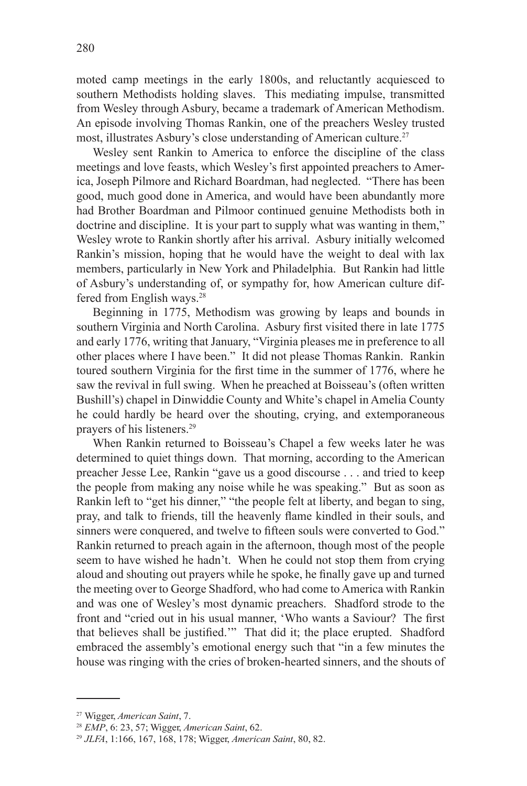moted camp meetings in the early 1800s, and reluctantly acquiesced to southern Methodists holding slaves. This mediating impulse, transmitted from Wesley through Asbury, became a trademark of American Methodism. An episode involving Thomas Rankin, one of the preachers Wesley trusted most, illustrates Asbury's close understanding of American culture.<sup>27</sup>

Wesley sent Rankin to America to enforce the discipline of the class meetings and love feasts, which Wesley's first appointed preachers to America, Joseph Pilmore and Richard Boardman, had neglected. "There has been good, much good done in America, and would have been abundantly more had Brother Boardman and Pilmoor continued genuine Methodists both in doctrine and discipline. It is your part to supply what was wanting in them," Wesley wrote to Rankin shortly after his arrival. Asbury initially welcomed Rankin's mission, hoping that he would have the weight to deal with lax members, particularly in New York and Philadelphia. But Rankin had little of Asbury's understanding of, or sympathy for, how American culture differed from English ways.<sup>28</sup>

Beginning in 1775, Methodism was growing by leaps and bounds in southern Virginia and North Carolina. Asbury first visited there in late 1775 and early 1776, writing that January, "Virginia pleases me in preference to all other places where I have been." It did not please Thomas Rankin. Rankin toured southern Virginia for the first time in the summer of 1776, where he saw the revival in full swing. When he preached at Boisseau's (often written Bushill's) chapel in Dinwiddie County and White's chapel in Amelia County he could hardly be heard over the shouting, crying, and extemporaneous prayers of his listeners.29

When Rankin returned to Boisseau's Chapel a few weeks later he was determined to quiet things down. That morning, according to the American preacher Jesse Lee, Rankin "gave us a good discourse . . . and tried to keep the people from making any noise while he was speaking." But as soon as Rankin left to "get his dinner," "the people felt at liberty, and began to sing, pray, and talk to friends, till the heavenly flame kindled in their souls, and sinners were conquered, and twelve to fifteen souls were converted to God." Rankin returned to preach again in the afternoon, though most of the people seem to have wished he hadn't. When he could not stop them from crying aloud and shouting out prayers while he spoke, he finally gave up and turned the meeting over to George Shadford, who had come to America with Rankin and was one of Wesley's most dynamic preachers. Shadford strode to the front and "cried out in his usual manner, 'Who wants a Saviour? The first that believes shall be justified.'" That did it; the place erupted. Shadford embraced the assembly's emotional energy such that "in a few minutes the house was ringing with the cries of broken-hearted sinners, and the shouts of

<sup>27</sup> Wigger, *American Saint*, 7.

<sup>28</sup> *EMP*, 6: 23, 57; Wigger, *American Saint*, 62.

<sup>29</sup> *JLFA*, 1:166, 167, 168, 178; Wigger, *American Saint*, 80, 82.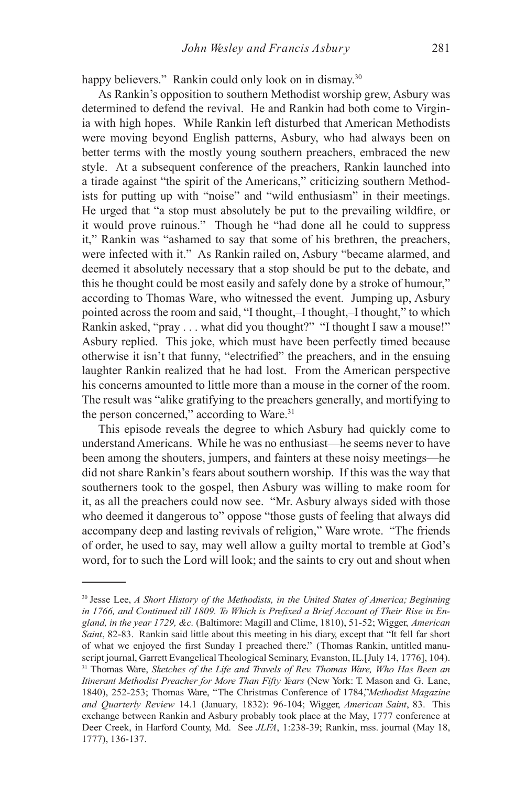happy believers." Rankin could only look on in dismay.<sup>30</sup>

As Rankin's opposition to southern Methodist worship grew, Asbury was determined to defend the revival. He and Rankin had both come to Virginia with high hopes. While Rankin left disturbed that American Methodists were moving beyond English patterns, Asbury, who had always been on better terms with the mostly young southern preachers, embraced the new style. At a subsequent conference of the preachers, Rankin launched into a tirade against "the spirit of the Americans," criticizing southern Methodists for putting up with "noise" and "wild enthusiasm" in their meetings. He urged that "a stop must absolutely be put to the prevailing wildfire, or it would prove ruinous." Though he "had done all he could to suppress it," Rankin was "ashamed to say that some of his brethren, the preachers, were infected with it." As Rankin railed on, Asbury "became alarmed, and deemed it absolutely necessary that a stop should be put to the debate, and this he thought could be most easily and safely done by a stroke of humour," according to Thomas Ware, who witnessed the event. Jumping up, Asbury pointed across the room and said, "I thought,–I thought,–I thought," to which Rankin asked, "pray . . . what did you thought?" "I thought I saw a mouse!" Asbury replied. This joke, which must have been perfectly timed because otherwise it isn't that funny, "electrified" the preachers, and in the ensuing laughter Rankin realized that he had lost. From the American perspective his concerns amounted to little more than a mouse in the corner of the room. The result was "alike gratifying to the preachers generally, and mortifying to the person concerned," according to Ware.<sup>31</sup>

This episode reveals the degree to which Asbury had quickly come to understand Americans. While he was no enthusiast—he seems never to have been among the shouters, jumpers, and fainters at these noisy meetings—he did not share Rankin's fears about southern worship. If this was the way that southerners took to the gospel, then Asbury was willing to make room for it, as all the preachers could now see. "Mr. Asbury always sided with those who deemed it dangerous to" oppose "those gusts of feeling that always did accompany deep and lasting revivals of religion," Ware wrote. "The friends of order, he used to say, may well allow a guilty mortal to tremble at God's word, for to such the Lord will look; and the saints to cry out and shout when

<sup>30</sup> Jesse Lee, *A Short History of the Methodists, in the United States of America; Beginning*  in 1766, and Continued till 1809. To Which is Prefixed a Brief Account of Their Rise in En*gland, in the year 1729, &c.* (Baltimore: Magill and Clime, 1810), 51-52; Wigger, *American Saint*, 82-83. Rankin said little about this meeting in his diary, except that "It fell far short of what we enjoyed the first Sunday I preached there." (Thomas Rankin, untitled manuscript journal, Garrett Evangelical Theological Seminary, Evanston, IL.[July 14, 1776], 104). <sup>31</sup> Thomas Ware, *Sketches of the Life and Travels of Rev. Thomas Ware, Who Has Been an Itinerant Methodist Preacher for More Than Fifty Years* (New York: T. Mason and G. Lane, 1840), 252-253; Thomas Ware, "The Christmas Conference of 1784,"*Methodist Magazine and Quarterly Review* 14.1 (January, 1832): 96-104; Wigger, *American Saint*, 83. This exchange between Rankin and Asbury probably took place at the May, 1777 conference at Deer Creek, in Harford County, Md. See *JLFA*, 1:238-39; Rankin, mss. journal (May 18, 1777), 136-137.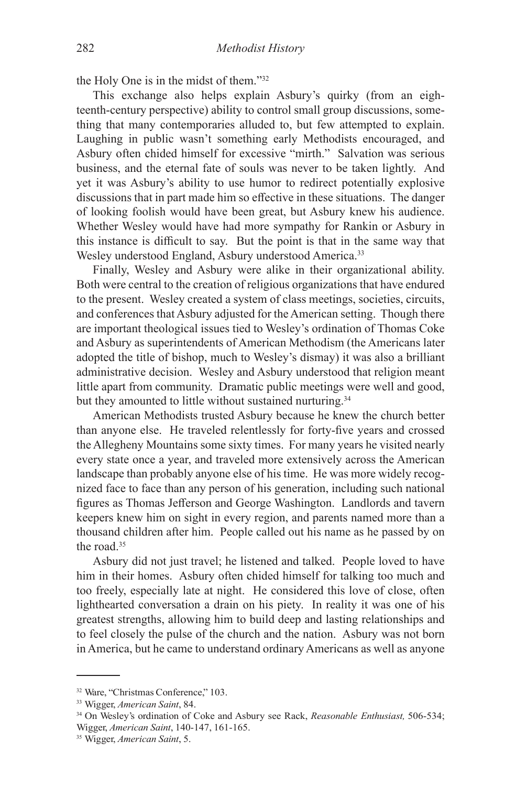the Holy One is in the midst of them."32

This exchange also helps explain Asbury's quirky (from an eighteenth-century perspective) ability to control small group discussions, something that many contemporaries alluded to, but few attempted to explain. Laughing in public wasn't something early Methodists encouraged, and Asbury often chided himself for excessive "mirth." Salvation was serious business, and the eternal fate of souls was never to be taken lightly. And yet it was Asbury's ability to use humor to redirect potentially explosive discussions that in part made him so effective in these situations. The danger of looking foolish would have been great, but Asbury knew his audience. Whether Wesley would have had more sympathy for Rankin or Asbury in this instance is difficult to say. But the point is that in the same way that Wesley understood England, Asbury understood America.<sup>33</sup>

Finally, Wesley and Asbury were alike in their organizational ability. Both were central to the creation of religious organizations that have endured to the present. Wesley created a system of class meetings, societies, circuits, and conferences that Asbury adjusted for the American setting. Though there are important theological issues tied to Wesley's ordination of Thomas Coke and Asbury as superintendents of American Methodism (the Americans later adopted the title of bishop, much to Wesley's dismay) it was also a brilliant administrative decision. Wesley and Asbury understood that religion meant little apart from community. Dramatic public meetings were well and good, but they amounted to little without sustained nurturing.<sup>34</sup>

American Methodists trusted Asbury because he knew the church better than anyone else. He traveled relentlessly for forty-five years and crossed the Allegheny Mountains some sixty times. For many years he visited nearly every state once a year, and traveled more extensively across the American landscape than probably anyone else of his time. He was more widely recognized face to face than any person of his generation, including such national figures as Thomas Jefferson and George Washington. Landlords and tavern keepers knew him on sight in every region, and parents named more than a thousand children after him. People called out his name as he passed by on the road.35

Asbury did not just travel; he listened and talked. People loved to have him in their homes. Asbury often chided himself for talking too much and too freely, especially late at night. He considered this love of close, often lighthearted conversation a drain on his piety. In reality it was one of his greatest strengths, allowing him to build deep and lasting relationships and to feel closely the pulse of the church and the nation. Asbury was not born in America, but he came to understand ordinary Americans as well as anyone

<sup>&</sup>lt;sup>32</sup> Ware, "Christmas Conference," 103.

<sup>33</sup> Wigger, *American Saint*, 84.

<sup>34</sup> On Wesley's ordination of Coke and Asbury see Rack, *Reasonable Enthusiast,* 506-534; Wigger, *American Saint*, 140-147, 161-165.

<sup>35</sup> Wigger, *American Saint*, 5.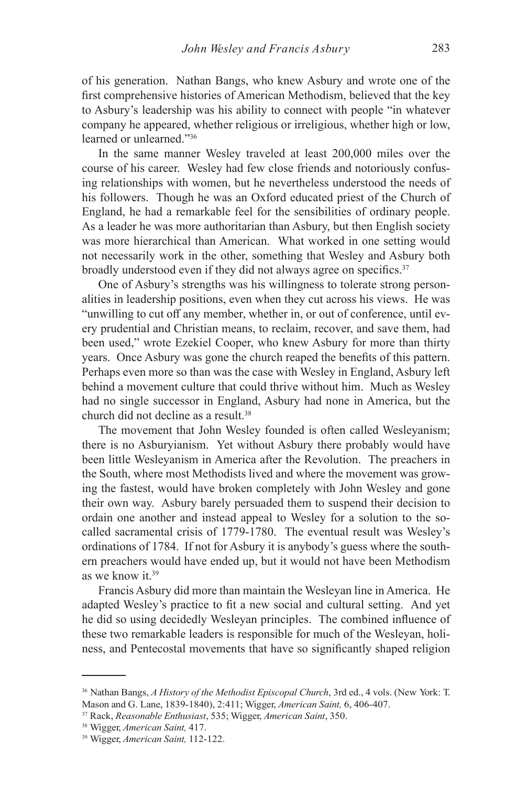of his generation. Nathan Bangs, who knew Asbury and wrote one of the first comprehensive histories of American Methodism, believed that the key to Asbury's leadership was his ability to connect with people "in whatever company he appeared, whether religious or irreligious, whether high or low, learned or unlearned."36

In the same manner Wesley traveled at least 200,000 miles over the course of his career. Wesley had few close friends and notoriously confusing relationships with women, but he nevertheless understood the needs of his followers. Though he was an Oxford educated priest of the Church of England, he had a remarkable feel for the sensibilities of ordinary people. As a leader he was more authoritarian than Asbury, but then English society was more hierarchical than American. What worked in one setting would not necessarily work in the other, something that Wesley and Asbury both broadly understood even if they did not always agree on specifics.<sup>37</sup>

One of Asbury's strengths was his willingness to tolerate strong personalities in leadership positions, even when they cut across his views. He was "unwilling to cut off any member, whether in, or out of conference, until every prudential and Christian means, to reclaim, recover, and save them, had been used," wrote Ezekiel Cooper, who knew Asbury for more than thirty years. Once Asbury was gone the church reaped the benefits of this pattern. Perhaps even more so than was the case with Wesley in England, Asbury left behind a movement culture that could thrive without him. Much as Wesley had no single successor in England, Asbury had none in America, but the church did not decline as a result.38

The movement that John Wesley founded is often called Wesleyanism; there is no Asburyianism. Yet without Asbury there probably would have been little Wesleyanism in America after the Revolution. The preachers in the South, where most Methodists lived and where the movement was growing the fastest, would have broken completely with John Wesley and gone their own way. Asbury barely persuaded them to suspend their decision to ordain one another and instead appeal to Wesley for a solution to the socalled sacramental crisis of 1779-1780. The eventual result was Wesley's ordinations of 1784. If not for Asbury it is anybody's guess where the southern preachers would have ended up, but it would not have been Methodism as we know it.39

Francis Asbury did more than maintain the Wesleyan line in America. He adapted Wesley's practice to fit a new social and cultural setting. And yet he did so using decidedly Wesleyan principles. The combined influence of these two remarkable leaders is responsible for much of the Wesleyan, holiness, and Pentecostal movements that have so significantly shaped religion

<sup>36</sup> Nathan Bangs, *A History of the Methodist Episcopal Church*, 3rd ed., 4 vols. (New York: T. Mason and G. Lane, 1839-1840), 2:411; Wigger, *American Saint,* 6, 406-407.

<sup>37</sup> Rack, *Reasonable Enthusiast*, 535; Wigger, *American Saint*, 350.

<sup>38</sup> Wigger, *American Saint,* 417.

<sup>39</sup> Wigger, *American Saint,* 112-122.